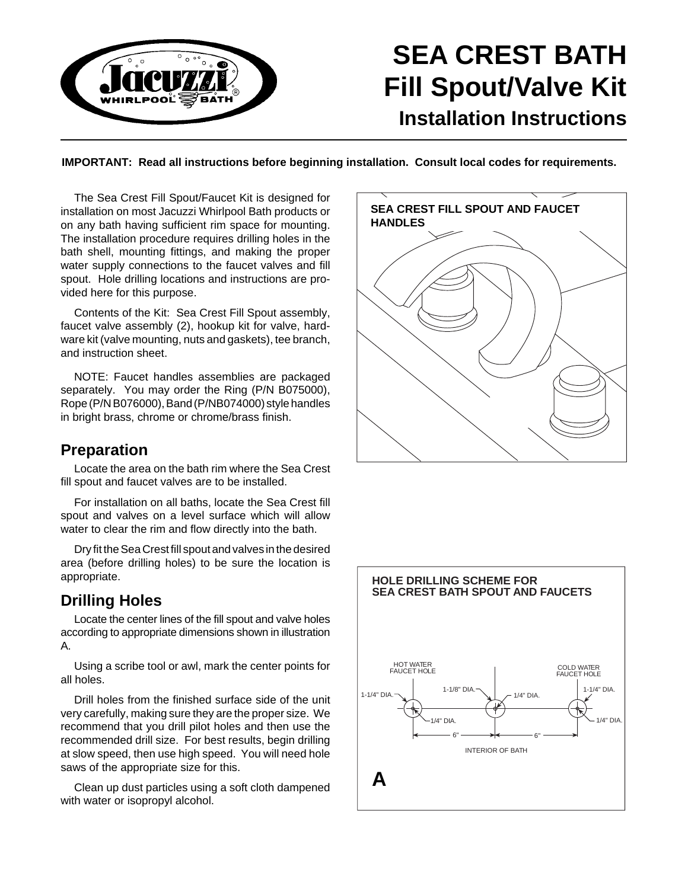

# **SEA CREST BATH Fill Spout/Valve Kit Installation Instructions**

**IMPORTANT: Read all instructions before beginning installation. Consult local codes for requirements.**

The Sea Crest Fill Spout/Faucet Kit is designed for installation on most Jacuzzi Whirlpool Bath products or on any bath having sufficient rim space for mounting. The installation procedure requires drilling holes in the bath shell, mounting fittings, and making the proper water supply connections to the faucet valves and fill spout. Hole drilling locations and instructions are provided here for this purpose.

Contents of the Kit: Sea Crest Fill Spout assembly, faucet valve assembly (2), hookup kit for valve, hardware kit (valve mounting, nuts and gaskets), tee branch, and instruction sheet.

NOTE: Faucet handles assemblies are packaged separately. You may order the Ring (P/N B075000), Rope (P/N B076000), Band (P/NB074000) style handles in bright brass, chrome or chrome/brass finish.

## **Preparation**

Locate the area on the bath rim where the Sea Crest fill spout and faucet valves are to be installed.

For installation on all baths, locate the Sea Crest fill spout and valves on a level surface which will allow water to clear the rim and flow directly into the bath.

Dry fit the Sea Crest fill spout and valves in the desired area (before drilling holes) to be sure the location is appropriate.

## **Drilling Holes**

Locate the center lines of the fill spout and valve holes according to appropriate dimensions shown in illustration A.

Using a scribe tool or awl, mark the center points for all holes.

Drill holes from the finished surface side of the unit very carefully, making sure they are the proper size. We recommend that you drill pilot holes and then use the recommended drill size. For best results, begin drilling at slow speed, then use high speed. You will need hole saws of the appropriate size for this.

Clean up dust particles using a soft cloth dampened with water or isopropyl alcohol.



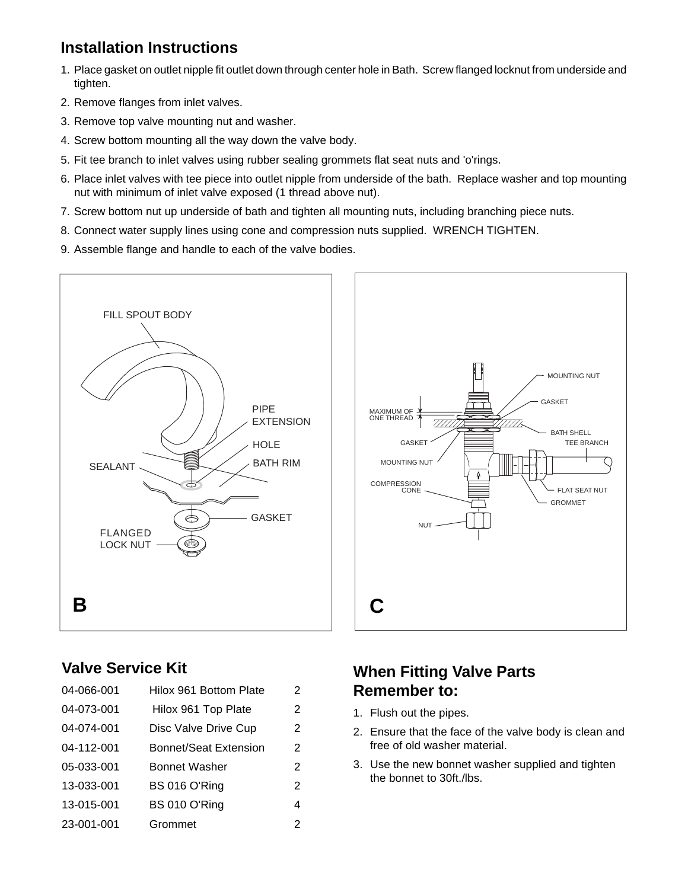## **Installation Instructions**

- 1. Place gasket on outlet nipple fit outlet down through center hole in Bath. Screw flanged locknut from underside and tighten.
- 2. Remove flanges from inlet valves.
- 3. Remove top valve mounting nut and washer.
- 4. Screw bottom mounting all the way down the valve body.
- 5. Fit tee branch to inlet valves using rubber sealing grommets flat seat nuts and 'o'rings.
- 6. Place inlet valves with tee piece into outlet nipple from underside of the bath. Replace washer and top mounting nut with minimum of inlet valve exposed (1 thread above nut).
- 7. Screw bottom nut up underside of bath and tighten all mounting nuts, including branching piece nuts.
- 8. Connect water supply lines using cone and compression nuts supplied. WRENCH TIGHTEN.
- 9. Assemble flange and handle to each of the valve bodies.





## **Valve Service Kit**

| 04-066-001 | Hilox 961 Bottom Plate | 2 |
|------------|------------------------|---|
| 04-073-001 | Hilox 961 Top Plate    | 2 |
| 04-074-001 | Disc Valve Drive Cup   | 2 |
| 04-112-001 | Bonnet/Seat Extension  | 2 |
| 05-033-001 | <b>Bonnet Washer</b>   | 2 |
| 13-033-001 | BS 016 O'Ring          | 2 |
| 13-015-001 | BS 010 O'Ring          | 4 |
| 23-001-001 | Grommet                | 2 |

## **When Fitting Valve Parts Remember to:**

- 1. Flush out the pipes.
- 2. Ensure that the face of the valve body is clean and free of old washer material.
- 3. Use the new bonnet washer supplied and tighten the bonnet to 30ft./lbs.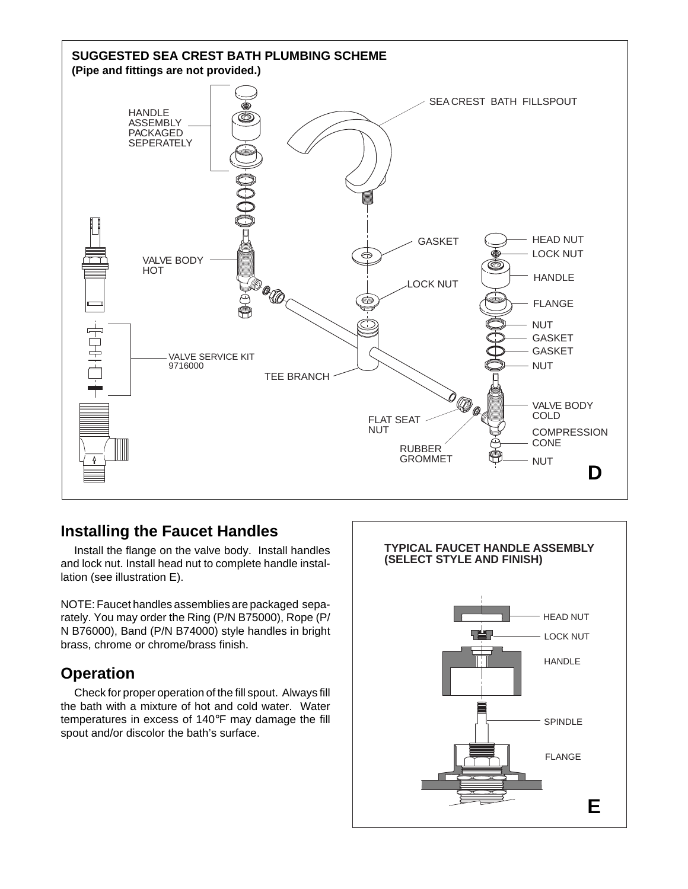

### **Installing the Faucet Handles**

Install the flange on the valve body. Install handles and lock nut. Install head nut to complete handle installation (see illustration E).

NOTE: Faucet handles assemblies are packaged separately. You may order the Ring (P/N B75000), Rope (P/ N B76000), Band (P/N B74000) style handles in bright brass, chrome or chrome/brass finish.

## **Operation**

Check for proper operation of the fill spout. Always fill the bath with a mixture of hot and cold water. Water temperatures in excess of 140°F may damage the fill spout and/or discolor the bath's surface.

## **TYPICAL FAUCET HANDLE ASSEMBLY (SELECT STYLE AND FINISH)**